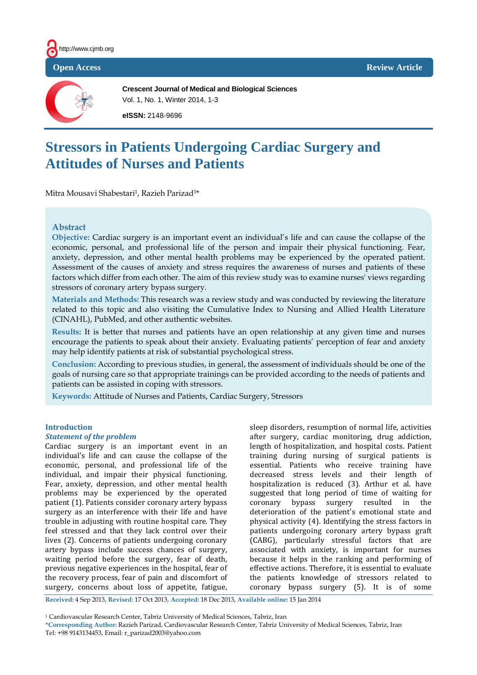



**Crescent Journal of Medical and Biological Sciences** Vol. 1, No. 1, Winter 2014, 1-3 **eISSN:** 2148-9696

# **Stressors in Patients Undergoing Cardiac Surgery and Attitudes of Nurses and Patients**

Mitra Mousavi Shabestari<sup>1</sup>, Razieh Parizad<sup>1\*</sup>

## **Abstract**

**Objective:** Cardiac surgery is an important event an individual's life and can cause the collapse of the economic, personal, and professional life of the person and impair their physical functioning. Fear, anxiety, depression, and other mental health problems may be experienced by the operated patient. Assessment of the causes of anxiety and stress requires the awareness of nurses and patients of these factors which differ from each other. The aim of this review study was to examine nurses' views regarding stressors of coronary artery bypass surgery.

**Materials and Methods:** This research was a review study and was conducted by reviewing the literature related to this topic and also visiting the Cumulative Index to Nursing and Allied Health Literature (CINAHL), PubMed, and other authentic websites.

**Results:** It is better that nurses and patients have an open relationship at any given time and nurses encourage the patients to speak about their anxiety. Evaluating patients' perception of fear and anxiety may help identify patients at risk of substantial psychological stress.

**Conclusion:** According to previous studies, in general, the assessment of individuals should be one of the goals of nursing care so that appropriate trainings can be provided according to the needs of patients and patients can be assisted in coping with stressors.

**Keywords:** Attitude of Nurses and Patients, Cardiac Surgery, Stressors

#### **Introduction**

#### *Statement of the problem*

Cardiac surgery is an important event in an individual's life and can cause the collapse of the economic, personal, and professional life of the individual, and impair their physical functioning. Fear, anxiety, depression, and other mental health problems may be experienced by the operated patient (1). Patients consider coronary artery bypass surgery as an interference with their life and have trouble in adjusting with routine hospital care. They feel stressed and that they lack control over their lives (2). Concerns of patients undergoing coronary artery bypass include success chances of surgery, waiting period before the surgery, fear of death, previous negative experiences in the hospital, fear of the recovery process, fear of pain and discomfort of surgery, concerns about loss of appetite, fatigue,

sleep disorders, resumption of normal life, activities after surgery, cardiac monitoring, drug addiction, length of hospitalization, and hospital costs. Patient training during nursing of surgical patients is essential. Patients who receive training have decreased stress levels and their length of hospitalization is reduced (3). Arthur et al. have suggested that long period of time of waiting for coronary bypass surgery resulted in the deterioration of the patient's emotional state and physical activity (4). Identifying the stress factors in patients undergoing coronary artery bypass graft (CABG), particularly stressful factors that are associated with anxiety, is important for nurses because it helps in the ranking and performing of effective actions. Therefore, it is essential to evaluate the patients knowledge of stressors related to coronary bypass surgery (5). It is of some

**Received:** 4 Sep 2013, **Revised**: 17 Oct 2013, **Accepted:** 18 Dec 2013, **Available online:** 15 Jan 2014

<sup>1</sup> Cardiovascular Research Center, Tabriz University of Medical Sciences, Tabriz, Iran

**<sup>\*</sup>Corresponding Author:** Razieh Parizad, Cardiovascular Research Center, Tabriz University of Medical Sciences, Tabriz, Iran Tel: +98 9143134453, Email: r\_parizad2003@yahoo.com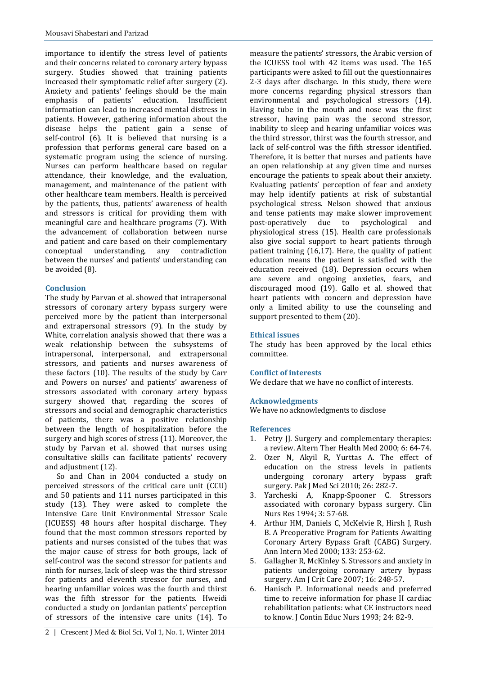importance to identify the stress level of patients and their concerns related to coronary artery bypass surgery. Studies showed that training patients increased their symptomatic relief after surgery (2). Anxiety and patients' feelings should be the main emphasis of patients' education. Insufficient information can lead to increased mental distress in patients. However, gathering information about the disease helps the patient gain a sense of self-control (6). It is believed that nursing is a profession that performs general care based on a systematic program using the science of nursing. Nurses can perform healthcare based on regular attendance, their knowledge, and the evaluation, management, and maintenance of the patient with other healthcare team members. Health is perceived by the patients, thus, patients' awareness of health and stressors is critical for providing them with meaningful care and healthcare programs (7). With the advancement of collaboration between nurse and patient and care based on their complementary conceptual understanding, any contradiction between the nurses' and patients' understanding can be avoided (8).

## **Conclusion**

The study by Parvan et al. showed that intrapersonal stressors of coronary artery bypass surgery were perceived more by the patient than interpersonal and extrapersonal stressors (9). In the study by White, correlation analysis showed that there was a weak relationship between the subsystems of intrapersonal, interpersonal, and extrapersonal stressors, and patients and nurses awareness of these factors (10). The results of the study by Carr and Powers on nurses' and patients' awareness of stressors associated with coronary artery bypass surgery showed that, regarding the scores of stressors and social and demographic characteristics of patients, there was a positive relationship between the length of hospitalization before the surgery and high scores of stress (11). Moreover, the study by Parvan et al. showed that nurses using consultative skills can facilitate patients' recovery and adjustment (12).

So and Chan in 2004 conducted a study on perceived stressors of the critical care unit (CCU) and 50 patients and 111 nurses participated in this study (13). They were asked to complete the Intensive Care Unit Environmental Stressor Scale (ICUESS) 48 hours after hospital discharge. They found that the most common stressors reported by patients and nurses consisted of the tubes that was the major cause of stress for both groups, lack of self-control was the second stressor for patients and ninth for nurses, lack of sleep was the third stressor for patients and eleventh stressor for nurses, and hearing unfamiliar voices was the fourth and thirst was the fifth stressor for the patients. Hweidi conducted a study on Jordanian patients' perception of stressors of the intensive care units (14). To

measure the patients' stressors, the Arabic version of the ICUESS tool with 42 items was used. The 165 participants were asked to fill out the questionnaires 2-3 days after discharge. In this study, there were more concerns regarding physical stressors than environmental and psychological stressors (14). Having tube in the mouth and nose was the first stressor, having pain was the second stressor, inability to sleep and hearing unfamiliar voices was the third stressor, thirst was the fourth stressor, and lack of self-control was the fifth stressor identified. Therefore, it is better that nurses and patients have an open relationship at any given time and nurses encourage the patients to speak about their anxiety. Evaluating patients' perception of fear and anxiety may help identify patients at risk of substantial psychological stress. Nelson showed that anxious and tense patients may make slower improvement post-operatively due to psychological and physiological stress (15). Health care professionals also give social support to heart patients through patient training (16,17). Here, the quality of patient education means the patient is satisfied with the education received (18). Depression occurs when are severe and ongoing anxieties, fears, and discouraged mood (19). Gallo et al. showed that heart patients with concern and depression have only a limited ability to use the counseling and support presented to them (20).

#### **Ethical issues**

The study has been approved by the local ethics committee.

## **Conflict of interests**

We declare that we have no conflict of interests.

## **Acknowledgments**

We have no acknowledgments to disclose

#### **References**

- 1. Petry II. Surgery and complementary therapies: a review. Altern Ther Health Med 2000; 6: 64-74.
- 2. Ozer N, Akyil R, Yurttas A. The effect of education on the stress levels in patients undergoing coronary artery bypass graft surgery. Pak J Med Sci 2010; 26: 282-7.
- 3. Yarcheski A, Knapp-Spooner C. Stressors associated with coronary bypass surgery. Clin Nurs Res 1994; 3: 57-68.
- 4. Arthur HM, Daniels C, McKelvie R, Hirsh J, Rush B. A Preoperative Program for Patients Awaiting Coronary Artery Bypass Graft (CABG) Surgery. Ann Intern Med 2000; 133: 253-62.
- 5. Gallagher R, McKinley S. Stressors and anxiety in patients undergoing coronary artery bypass surgery. Am J Crit Care 2007; 16: 248-57.
- 6. Hanisch P. Informational needs and preferred time to receive information for phase II cardiac rehabilitation patients: what CE instructors need to know. J Contin Educ Nurs 1993; 24: 82-9.